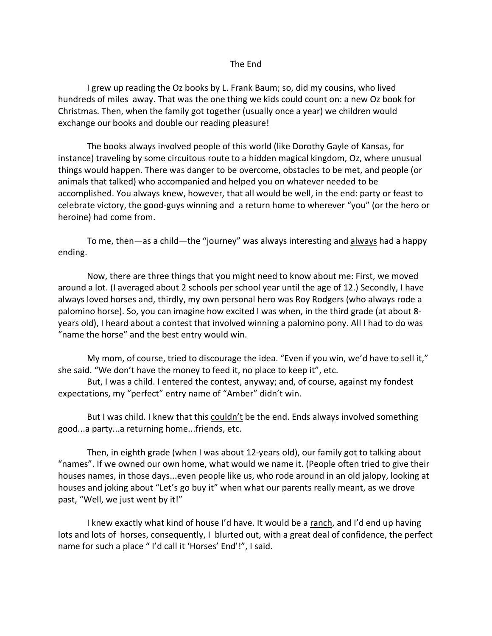## The End

I grew up reading the Oz books by L. Frank Baum; so, did my cousins, who lived hundreds of miles away. That was the one thing we kids could count on: a new Oz book for Christmas. Then, when the family got together (usually once a year) we children would exchange our books and double our reading pleasure!

The books always involved people of this world (like Dorothy Gayle of Kansas, for instance) traveling by some circuitous route to a hidden magical kingdom, Oz, where unusual things would happen. There was danger to be overcome, obstacles to be met, and people (or animals that talked) who accompanied and helped you on whatever needed to be accomplished. You always knew, however, that all would be well, in the end: party or feast to celebrate victory, the good-guys winning and a return home to wherever "you" (or the hero or heroine) had come from.

To me, then—as a child—the "journey" was always interesting and always had a happy ending.

Now, there are three things that you might need to know about me: First, we moved around a lot. (I averaged about 2 schools per school year until the age of 12.) Secondly, I have always loved horses and, thirdly, my own personal hero was Roy Rodgers (who always rode a palomino horse). So, you can imagine how excited I was when, in the third grade (at about 8 years old), I heard about a contest that involved winning a palomino pony. All I had to do was "name the horse" and the best entry would win.

My mom, of course, tried to discourage the idea. "Even if you win, we'd have to sell it," she said. "We don't have the money to feed it, no place to keep it", etc.

But, I was a child. I entered the contest, anyway; and, of course, against my fondest expectations, my "perfect" entry name of "Amber" didn't win.

But I was child. I knew that this couldn't be the end. Ends always involved something good...a party...a returning home...friends, etc.

Then, in eighth grade (when I was about 12-years old), our family got to talking about "names". If we owned our own home, what would we name it. (People often tried to give their houses names, in those days...even people like us, who rode around in an old jalopy, looking at houses and joking about "Let's go buy it" when what our parents really meant, as we drove past, "Well, we just went by it!"

I knew exactly what kind of house I'd have. It would be a ranch, and I'd end up having lots and lots of horses, consequently, I blurted out, with a great deal of confidence, the perfect name for such a place " I'd call it 'Horses' End'!", I said.